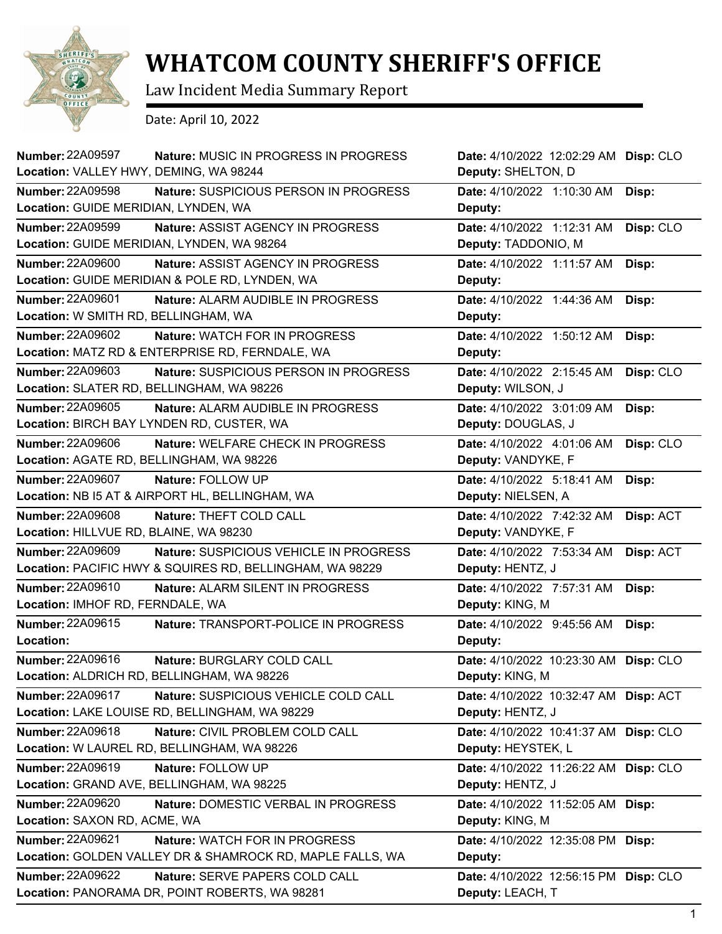

## **WHATCOM COUNTY SHERIFF'S OFFICE**

Law Incident Media Summary Report

Date: April 10, 2022

| <b>Number: 22A09597</b><br>Location: VALLEY HWY, DEMING, WA 98244     | Nature: MUSIC IN PROGRESS IN PROGRESS                                                              | Date: 4/10/2022 12:02:29 AM Disp: CLO<br>Deputy: SHELTON, D |           |
|-----------------------------------------------------------------------|----------------------------------------------------------------------------------------------------|-------------------------------------------------------------|-----------|
| <b>Number: 22A09598</b><br>Location: GUIDE MERIDIAN, LYNDEN, WA       | Nature: SUSPICIOUS PERSON IN PROGRESS                                                              | Date: 4/10/2022 1:10:30 AM<br>Deputy:                       | Disp:     |
| <b>Number: 22A09599</b><br>Location: GUIDE MERIDIAN, LYNDEN, WA 98264 | Nature: ASSIST AGENCY IN PROGRESS                                                                  | Date: 4/10/2022 1:12:31 AM<br>Deputy: TADDONIO, M           | Disp: CLO |
| <b>Number: 22A09600</b>                                               | Nature: ASSIST AGENCY IN PROGRESS<br>Location: GUIDE MERIDIAN & POLE RD, LYNDEN, WA                | Date: 4/10/2022 1:11:57 AM<br>Deputy:                       | Disp:     |
| <b>Number: 22A09601</b><br>Location: W SMITH RD, BELLINGHAM, WA       | Nature: ALARM AUDIBLE IN PROGRESS                                                                  | Date: 4/10/2022 1:44:36 AM<br>Deputy:                       | Disp:     |
| Number: 22A09602                                                      | Nature: WATCH FOR IN PROGRESS<br>Location: MATZ RD & ENTERPRISE RD, FERNDALE, WA                   | Date: 4/10/2022 1:50:12 AM<br>Deputy:                       | Disp:     |
| <b>Number: 22A09603</b><br>Location: SLATER RD, BELLINGHAM, WA 98226  | <b>Nature: SUSPICIOUS PERSON IN PROGRESS</b>                                                       | Date: 4/10/2022 2:15:45 AM<br>Deputy: WILSON, J             | Disp: CLO |
| <b>Number: 22A09605</b><br>Location: BIRCH BAY LYNDEN RD, CUSTER, WA  | Nature: ALARM AUDIBLE IN PROGRESS                                                                  | Date: 4/10/2022 3:01:09 AM<br>Deputy: DOUGLAS, J            | Disp:     |
| Number: 22A09606<br>Location: AGATE RD, BELLINGHAM, WA 98226          | Nature: WELFARE CHECK IN PROGRESS                                                                  | Date: 4/10/2022 4:01:06 AM<br>Deputy: VANDYKE, F            | Disp: CLO |
| <b>Number: 22A09607</b>                                               | Nature: FOLLOW UP<br>Location: NB I5 AT & AIRPORT HL, BELLINGHAM, WA                               | Date: 4/10/2022 5:18:41 AM<br>Deputy: NIELSEN, A            | Disp:     |
| Number: 22A09608<br>Location: HILLVUE RD, BLAINE, WA 98230            | Nature: THEFT COLD CALL                                                                            | Date: 4/10/2022 7:42:32 AM<br>Deputy: VANDYKE, F            | Disp: ACT |
| <b>Number: 22A09609</b>                                               | Nature: SUSPICIOUS VEHICLE IN PROGRESS<br>Location: PACIFIC HWY & SQUIRES RD, BELLINGHAM, WA 98229 | Date: 4/10/2022 7:53:34 AM<br>Deputy: HENTZ, J              | Disp: ACT |
| Number: 22A09610<br>Location: IMHOF RD, FERNDALE, WA                  | Nature: ALARM SILENT IN PROGRESS                                                                   | Date: 4/10/2022 7:57:31 AM<br>Deputy: KING, M               | Disp:     |
| Number: 22A09615<br>Location:                                         | Nature: TRANSPORT-POLICE IN PROGRESS                                                               | Date: 4/10/2022 9:45:56 AM<br>Deputy:                       | Disp:     |
| Number: 22A09616<br>Location: ALDRICH RD, BELLINGHAM, WA 98226        | Nature: BURGLARY COLD CALL                                                                         | Date: 4/10/2022 10:23:30 AM<br>Deputy: KING, M              | Disp: CLO |
| Number: 22A09617                                                      | Nature: SUSPICIOUS VEHICLE COLD CALL<br>Location: LAKE LOUISE RD, BELLINGHAM, WA 98229             | Date: 4/10/2022 10:32:47 AM Disp: ACT<br>Deputy: HENTZ, J   |           |
| Number: 22A09618<br>Location: W LAUREL RD, BELLINGHAM, WA 98226       | Nature: CIVIL PROBLEM COLD CALL                                                                    | Date: 4/10/2022 10:41:37 AM<br>Deputy: HEYSTEK, L           | Disp: CLO |
| <b>Number: 22A09619</b><br>Location: GRAND AVE, BELLINGHAM, WA 98225  | Nature: FOLLOW UP                                                                                  | Date: 4/10/2022 11:26:22 AM<br>Deputy: HENTZ, J             | Disp: CLO |
| <b>Number: 22A09620</b><br>Location: SAXON RD, ACME, WA               | Nature: DOMESTIC VERBAL IN PROGRESS                                                                | Date: 4/10/2022 11:52:05 AM<br>Deputy: KING, M              | Disp:     |
| Number: 22A09621                                                      | Nature: WATCH FOR IN PROGRESS<br>Location: GOLDEN VALLEY DR & SHAMROCK RD, MAPLE FALLS, WA         | Date: 4/10/2022 12:35:08 PM<br>Deputy:                      | Disp:     |
| <b>Number: 22A09622</b>                                               | Nature: SERVE PAPERS COLD CALL<br>Location: PANORAMA DR, POINT ROBERTS, WA 98281                   | Date: 4/10/2022 12:56:15 PM<br>Deputy: LEACH, T             | Disp: CLO |